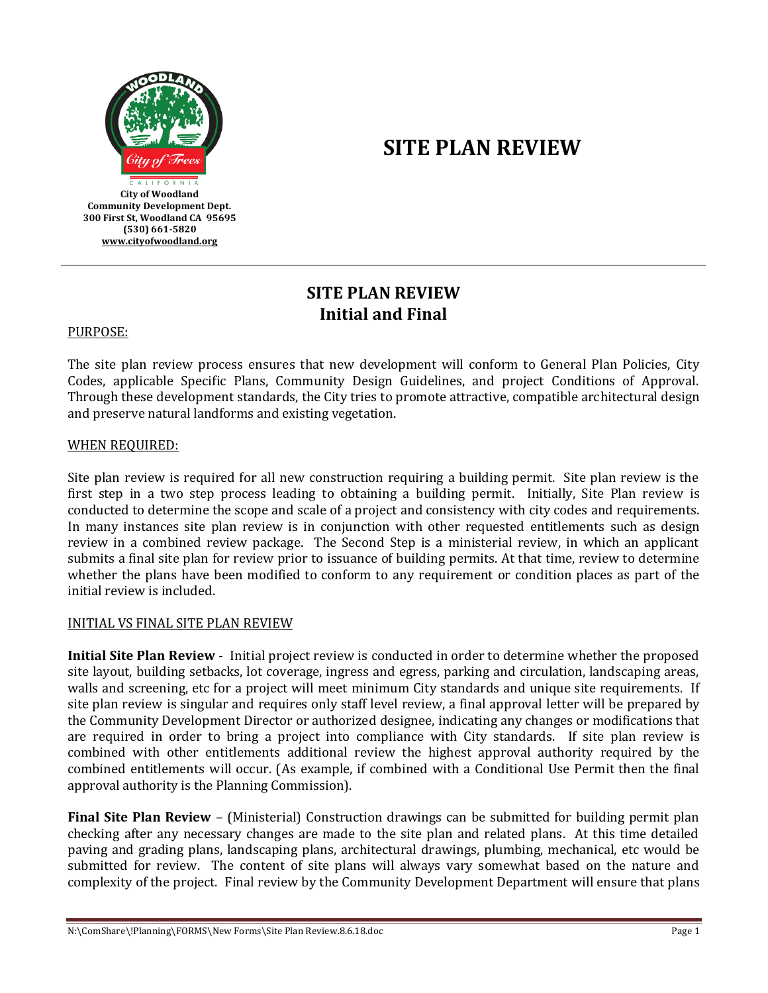

# **SITE PLAN REVIEW**

# **SITE PLAN REVIEW Initial and Final**

PURPOSE:

The site plan review process ensures that new development will conform to General Plan Policies, City Codes, applicable Specific Plans, Community Design Guidelines, and project Conditions of Approval. Through these development standards, the City tries to promote attractive, compatible architectural design and preserve natural landforms and existing vegetation.

#### WHEN REQUIRED:

Site plan review is required for all new construction requiring a building permit. Site plan review is the first step in a two step process leading to obtaining a building permit. Initially, Site Plan review is conducted to determine the scope and scale of a project and consistency with city codes and requirements. In many instances site plan review is in conjunction with other requested entitlements such as design review in a combined review package. The Second Step is a ministerial review, in which an applicant submits a final site plan for review prior to issuance of building permits. At that time, review to determine whether the plans have been modified to conform to any requirement or condition places as part of the initial review is included.

#### INITIAL VS FINAL SITE PLAN REVIEW

**Initial Site Plan Review** - Initial project review is conducted in order to determine whether the proposed site layout, building setbacks, lot coverage, ingress and egress, parking and circulation, landscaping areas, walls and screening, etc for a project will meet minimum City standards and unique site requirements. If site plan review is singular and requires only staff level review, a final approval letter will be prepared by the Community Development Director or authorized designee, indicating any changes or modifications that are required in order to bring a project into compliance with City standards. If site plan review is combined with other entitlements additional review the highest approval authority required by the combined entitlements will occur. (As example, if combined with a Conditional Use Permit then the final approval authority is the Planning Commission).

**Final Site Plan Review** – (Ministerial) Construction drawings can be submitted for building permit plan checking after any necessary changes are made to the site plan and related plans. At this time detailed paving and grading plans, landscaping plans, architectural drawings, plumbing, mechanical, etc would be submitted for review. The content of site plans will always vary somewhat based on the nature and complexity of the project. Final review by the Community Development Department will ensure that plans

N:\ComShare\!Planning\FORMS\New Forms\Site Plan Review.8.6.18.doc